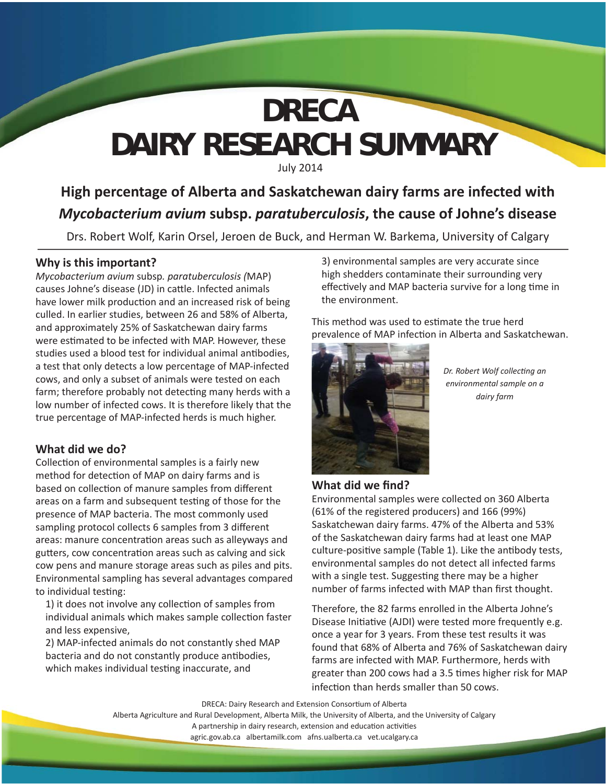# **DAIRY RESEARCH SUMMARY** July 2014 **DRECA**

# **High percentage of Alberta and Saskatchewan dairy farms are infected with**  *Mycobacterium avium* **subsp.** *paratuberculosis***, the cause of Johne's disease**

Drs. Robert Wolf, Karin Orsel, Jeroen de Buck, and Herman W. Barkema, University of Calgary

### **Why is this important?**

*Mycobacterium avium* subsp*. paratuberculosis (*MAP) causes Johne's disease (JD) in cattle. Infected animals have lower milk production and an increased risk of being culled. In earlier studies, between 26 and 58% of Alberta, and approximately 25% of Saskatchewan dairy farms were estimated to be infected with MAP. However, these studies used a blood test for individual animal antibodies, a test that only detects a low percentage of MAP-infected cows, and only a subset of animals were tested on each farm; therefore probably not detecting many herds with a low number of infected cows. It is therefore likely that the true percentage of MAP-infected herds is much higher.

#### **What did we do?**

Collection of environmental samples is a fairly new method for detection of MAP on dairy farms and is based on collection of manure samples from different areas on a farm and subsequent testing of those for the presence of MAP bacteria. The most commonly used sampling protocol collects 6 samples from 3 different areas: manure concentration areas such as alleyways and gutters, cow concentration areas such as calving and sick cow pens and manure storage areas such as piles and pits. Environmental sampling has several advantages compared to individual testing:

1) it does not involve any collection of samples from individual animals which makes sample collection faster and less expensive,

2) MAP-infected animals do not constantly shed MAP bacteria and do not constantly produce antibodies, which makes individual testing inaccurate, and

3) environmental samples are very accurate since high shedders contaminate their surrounding very effectively and MAP bacteria survive for a long time in the environment.

This method was used to estimate the true herd prevalence of MAP infection in Alberta and Saskatchewan.



**Dr. Robert Wolf collecting an** *environmental sample on a dairy farm*

#### **What did we find?**

Environmental samples were collected on 360 Alberta (61% of the registered producers) and 166 (99%) Saskatchewan dairy farms. 47% of the Alberta and 53% of the Saskatchewan dairy farms had at least one MAP culture-positive sample (Table 1). Like the antibody tests, environmental samples do not detect all infected farms with a single test. Suggesting there may be a higher number of farms infected with MAP than first thought.

Therefore, the 82 farms enrolled in the Alberta Johne's Disease Initiative (AJDI) were tested more frequently e.g. once a year for 3 years. From these test results it was found that 68% of Alberta and 76% of Saskatchewan dairy farms are infected with MAP. Furthermore, herds with greater than 200 cows had a 3.5 times higher risk for MAP infection than herds smaller than 50 cows.

DRECA: Dairy Research and Extension Consortium of Alberta

Alberta Agriculture and Rural Development, Alberta Milk, the University of Alberta, and the University of Calgary A partnership in dairy research, extension and education activities

agric.gov.ab.ca albertamilk.com afns.ualberta.ca vet.ucalgary.ca